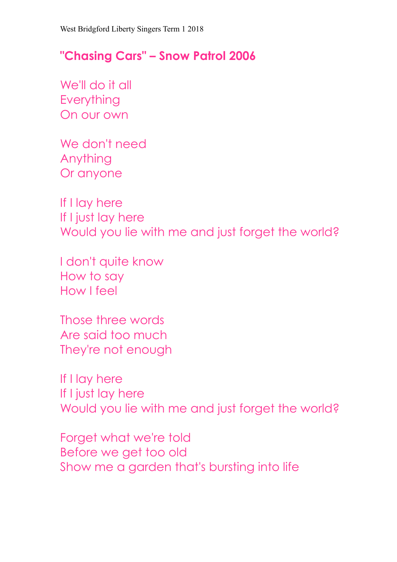## **"Chasing Cars" – Snow Patrol 2006**

We'll do it all **Everything** On our own

We don't need Anything Or anyone

If I lay here If I just lay here Would you lie with me and just forget the world?

I don't quite know How to say How I feel

Those three words Are said too much They're not enough

If I lay here If I just lay here Would you lie with me and just forget the world?

Forget what we're told Before we get too old Show me a garden that's bursting into life